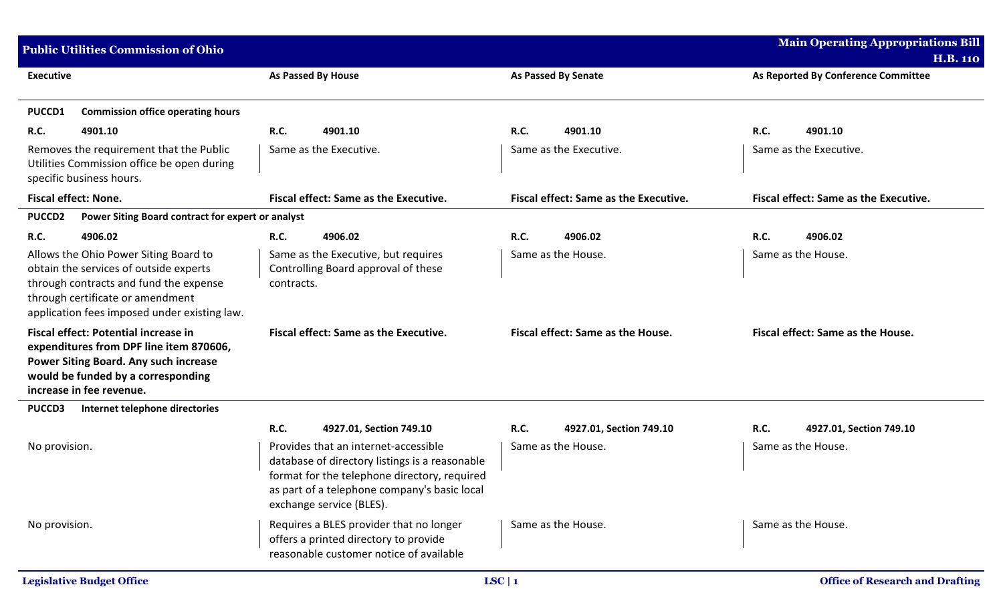| <b>Public Utilities Commission of Ohio</b>                                                                                                                                                                    |                                                   |                                                                                                                                                                                                                                               |             |                                               |             | <b>Main Operating Appropriations Bill</b>     |
|---------------------------------------------------------------------------------------------------------------------------------------------------------------------------------------------------------------|---------------------------------------------------|-----------------------------------------------------------------------------------------------------------------------------------------------------------------------------------------------------------------------------------------------|-------------|-----------------------------------------------|-------------|-----------------------------------------------|
|                                                                                                                                                                                                               |                                                   |                                                                                                                                                                                                                                               |             |                                               |             | <b>H.B. 110</b>                               |
| <b>Executive</b>                                                                                                                                                                                              |                                                   | As Passed By House                                                                                                                                                                                                                            |             | <b>As Passed By Senate</b>                    |             | As Reported By Conference Committee           |
| <b>Commission office operating hours</b><br>PUCCD1                                                                                                                                                            |                                                   |                                                                                                                                                                                                                                               |             |                                               |             |                                               |
| R.C.<br>4901.10                                                                                                                                                                                               | <b>R.C.</b>                                       | 4901.10                                                                                                                                                                                                                                       | <b>R.C.</b> | 4901.10                                       | <b>R.C.</b> | 4901.10                                       |
| Removes the requirement that the Public<br>Utilities Commission office be open during<br>specific business hours.                                                                                             |                                                   | Same as the Executive.                                                                                                                                                                                                                        |             | Same as the Executive.                        |             | Same as the Executive.                        |
| <b>Fiscal effect: None.</b>                                                                                                                                                                                   |                                                   | <b>Fiscal effect: Same as the Executive.</b>                                                                                                                                                                                                  |             | <b>Fiscal effect: Same as the Executive.</b>  |             | <b>Fiscal effect: Same as the Executive.</b>  |
| <b>PUCCD2</b>                                                                                                                                                                                                 | Power Siting Board contract for expert or analyst |                                                                                                                                                                                                                                               |             |                                               |             |                                               |
| R.C.<br>4906.02                                                                                                                                                                                               | <b>R.C.</b>                                       | 4906.02                                                                                                                                                                                                                                       | R.C.        | 4906.02                                       | <b>R.C.</b> | 4906.02                                       |
| Allows the Ohio Power Siting Board to<br>obtain the services of outside experts<br>through contracts and fund the expense<br>through certificate or amendment<br>application fees imposed under existing law. | contracts.                                        | Same as the Executive, but requires<br>Controlling Board approval of these                                                                                                                                                                    |             | Same as the House.                            |             | Same as the House.                            |
| Fiscal effect: Potential increase in<br>expenditures from DPF line item 870606,<br>Power Siting Board. Any such increase<br>would be funded by a corresponding<br>increase in fee revenue.                    |                                                   | <b>Fiscal effect: Same as the Executive.</b>                                                                                                                                                                                                  |             | Fiscal effect: Same as the House.             |             | Fiscal effect: Same as the House.             |
| <b>PUCCD3</b><br>Internet telephone directories                                                                                                                                                               |                                                   |                                                                                                                                                                                                                                               |             |                                               |             |                                               |
| No provision.                                                                                                                                                                                                 | <b>R.C.</b>                                       | 4927.01, Section 749.10<br>Provides that an internet-accessible<br>database of directory listings is a reasonable<br>format for the telephone directory, required<br>as part of a telephone company's basic local<br>exchange service (BLES). | R.C.        | 4927.01, Section 749.10<br>Same as the House. | <b>R.C.</b> | 4927.01, Section 749.10<br>Same as the House. |
| No provision.                                                                                                                                                                                                 |                                                   | Requires a BLES provider that no longer<br>offers a printed directory to provide<br>reasonable customer notice of available                                                                                                                   |             | Same as the House.                            |             | Same as the House.                            |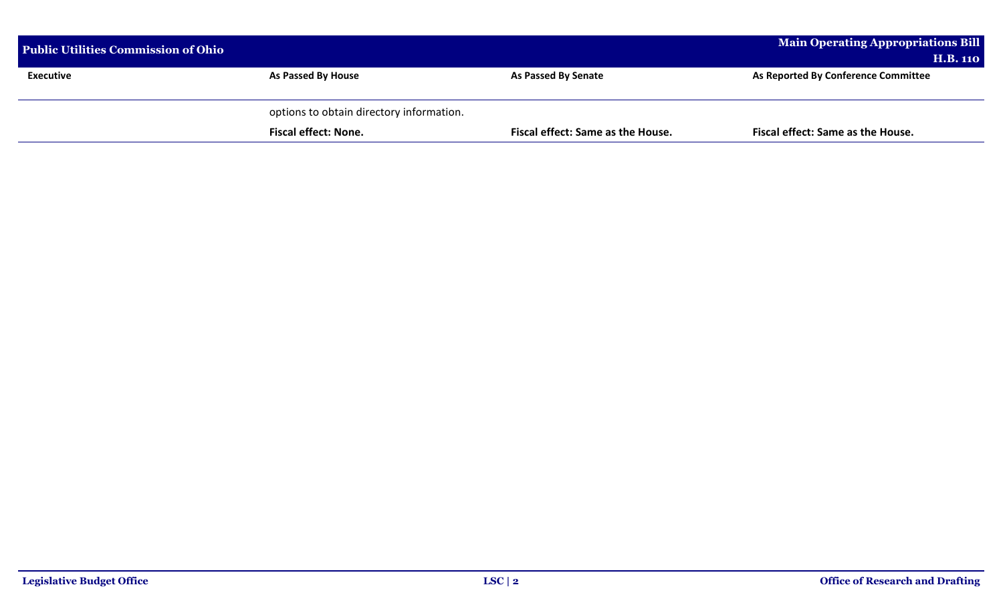| <b>Public Utilities Commission of Ohio</b> |                                          |                                   | <b>Main Operating Appropriations Bill</b><br><b>H.B. 110</b> |
|--------------------------------------------|------------------------------------------|-----------------------------------|--------------------------------------------------------------|
| <b>Executive</b>                           | <b>As Passed By House</b>                | <b>As Passed By Senate</b>        | As Reported By Conference Committee                          |
|                                            | options to obtain directory information. |                                   |                                                              |
|                                            | <b>Fiscal effect: None.</b>              | Fiscal effect: Same as the House. | Fiscal effect: Same as the House.                            |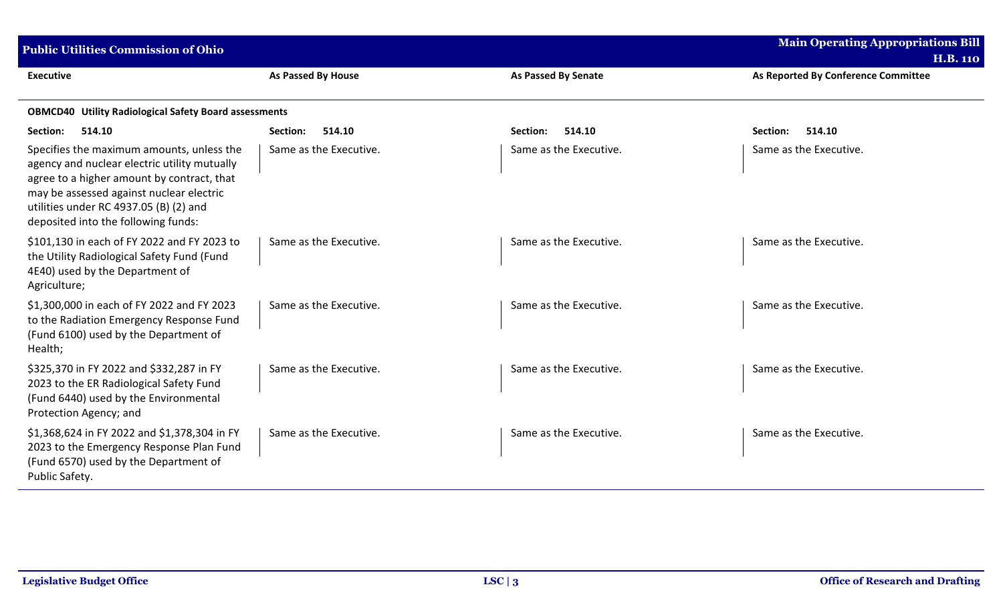| <b>Public Utilities Commission of Ohio</b>                                                                                                                                                                                                                           |                        |                            | <b>Main Operating Appropriations Bill</b><br><b>H.B. 110</b> |
|----------------------------------------------------------------------------------------------------------------------------------------------------------------------------------------------------------------------------------------------------------------------|------------------------|----------------------------|--------------------------------------------------------------|
| <b>Executive</b>                                                                                                                                                                                                                                                     | As Passed By House     | <b>As Passed By Senate</b> | As Reported By Conference Committee                          |
| <b>OBMCD40 Utility Radiological Safety Board assessments</b>                                                                                                                                                                                                         |                        |                            |                                                              |
| Section:<br>514.10                                                                                                                                                                                                                                                   | Section:<br>514.10     | 514.10<br>Section:         | 514.10<br>Section:                                           |
| Specifies the maximum amounts, unless the<br>agency and nuclear electric utility mutually<br>agree to a higher amount by contract, that<br>may be assessed against nuclear electric<br>utilities under RC 4937.05 (B) (2) and<br>deposited into the following funds: | Same as the Executive. | Same as the Executive.     | Same as the Executive.                                       |
| \$101,130 in each of FY 2022 and FY 2023 to<br>the Utility Radiological Safety Fund (Fund<br>4E40) used by the Department of<br>Agriculture;                                                                                                                         | Same as the Executive. | Same as the Executive.     | Same as the Executive.                                       |
| \$1,300,000 in each of FY 2022 and FY 2023<br>to the Radiation Emergency Response Fund<br>(Fund 6100) used by the Department of<br>Health;                                                                                                                           | Same as the Executive. | Same as the Executive.     | Same as the Executive.                                       |
| \$325,370 in FY 2022 and \$332,287 in FY<br>2023 to the ER Radiological Safety Fund<br>(Fund 6440) used by the Environmental<br>Protection Agency; and                                                                                                               | Same as the Executive. | Same as the Executive.     | Same as the Executive.                                       |
| \$1,368,624 in FY 2022 and \$1,378,304 in FY<br>2023 to the Emergency Response Plan Fund<br>(Fund 6570) used by the Department of<br>Public Safety.                                                                                                                  | Same as the Executive. | Same as the Executive.     | Same as the Executive.                                       |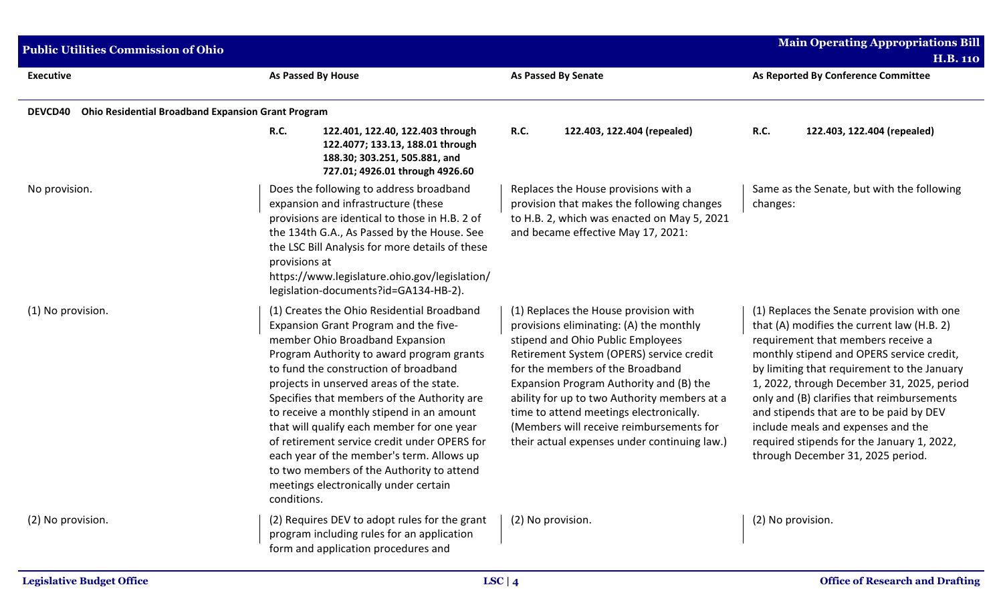| <b>Public Utilities Commission of Ohio</b> |                                                                                                                                                                                                                                                                                                                                                                                                                                                                                                                                                                                                      |                                                                                                                                                                                                                                                                                                                                                                                                                                         | <b>Main Operating Appropriations Bill</b><br><b>H.B. 110</b>                                                                                                                                                                                                                                                                                                                                                                                                                               |
|--------------------------------------------|------------------------------------------------------------------------------------------------------------------------------------------------------------------------------------------------------------------------------------------------------------------------------------------------------------------------------------------------------------------------------------------------------------------------------------------------------------------------------------------------------------------------------------------------------------------------------------------------------|-----------------------------------------------------------------------------------------------------------------------------------------------------------------------------------------------------------------------------------------------------------------------------------------------------------------------------------------------------------------------------------------------------------------------------------------|--------------------------------------------------------------------------------------------------------------------------------------------------------------------------------------------------------------------------------------------------------------------------------------------------------------------------------------------------------------------------------------------------------------------------------------------------------------------------------------------|
| <b>Executive</b>                           | <b>As Passed By House</b>                                                                                                                                                                                                                                                                                                                                                                                                                                                                                                                                                                            | As Passed By Senate                                                                                                                                                                                                                                                                                                                                                                                                                     | As Reported By Conference Committee                                                                                                                                                                                                                                                                                                                                                                                                                                                        |
| DEVCD40                                    | <b>Ohio Residential Broadband Expansion Grant Program</b>                                                                                                                                                                                                                                                                                                                                                                                                                                                                                                                                            |                                                                                                                                                                                                                                                                                                                                                                                                                                         |                                                                                                                                                                                                                                                                                                                                                                                                                                                                                            |
|                                            | <b>R.C.</b><br>122.401, 122.40, 122.403 through<br>122.4077; 133.13, 188.01 through<br>188.30; 303.251, 505.881, and<br>727.01; 4926.01 through 4926.60                                                                                                                                                                                                                                                                                                                                                                                                                                              | <b>R.C.</b><br>122.403, 122.404 (repealed)                                                                                                                                                                                                                                                                                                                                                                                              | <b>R.C.</b><br>122.403, 122.404 (repealed)                                                                                                                                                                                                                                                                                                                                                                                                                                                 |
| No provision.                              | Does the following to address broadband<br>expansion and infrastructure (these<br>provisions are identical to those in H.B. 2 of<br>the 134th G.A., As Passed by the House. See<br>the LSC Bill Analysis for more details of these<br>provisions at<br>https://www.legislature.ohio.gov/legislation/<br>legislation-documents?id=GA134-HB-2).                                                                                                                                                                                                                                                        | Replaces the House provisions with a<br>provision that makes the following changes<br>to H.B. 2, which was enacted on May 5, 2021<br>and became effective May 17, 2021:                                                                                                                                                                                                                                                                 | Same as the Senate, but with the following<br>changes:                                                                                                                                                                                                                                                                                                                                                                                                                                     |
| (1) No provision.                          | (1) Creates the Ohio Residential Broadband<br>Expansion Grant Program and the five-<br>member Ohio Broadband Expansion<br>Program Authority to award program grants<br>to fund the construction of broadband<br>projects in unserved areas of the state.<br>Specifies that members of the Authority are<br>to receive a monthly stipend in an amount<br>that will qualify each member for one year<br>of retirement service credit under OPERS for<br>each year of the member's term. Allows up<br>to two members of the Authority to attend<br>meetings electronically under certain<br>conditions. | (1) Replaces the House provision with<br>provisions eliminating: (A) the monthly<br>stipend and Ohio Public Employees<br>Retirement System (OPERS) service credit<br>for the members of the Broadband<br>Expansion Program Authority and (B) the<br>ability for up to two Authority members at a<br>time to attend meetings electronically.<br>(Members will receive reimbursements for<br>their actual expenses under continuing law.) | (1) Replaces the Senate provision with one<br>that (A) modifies the current law (H.B. 2)<br>requirement that members receive a<br>monthly stipend and OPERS service credit,<br>by limiting that requirement to the January<br>1, 2022, through December 31, 2025, period<br>only and (B) clarifies that reimbursements<br>and stipends that are to be paid by DEV<br>include meals and expenses and the<br>required stipends for the January 1, 2022,<br>through December 31, 2025 period. |
| (2) No provision.                          | (2) Requires DEV to adopt rules for the grant<br>program including rules for an application<br>form and application procedures and                                                                                                                                                                                                                                                                                                                                                                                                                                                                   | (2) No provision.                                                                                                                                                                                                                                                                                                                                                                                                                       | (2) No provision.                                                                                                                                                                                                                                                                                                                                                                                                                                                                          |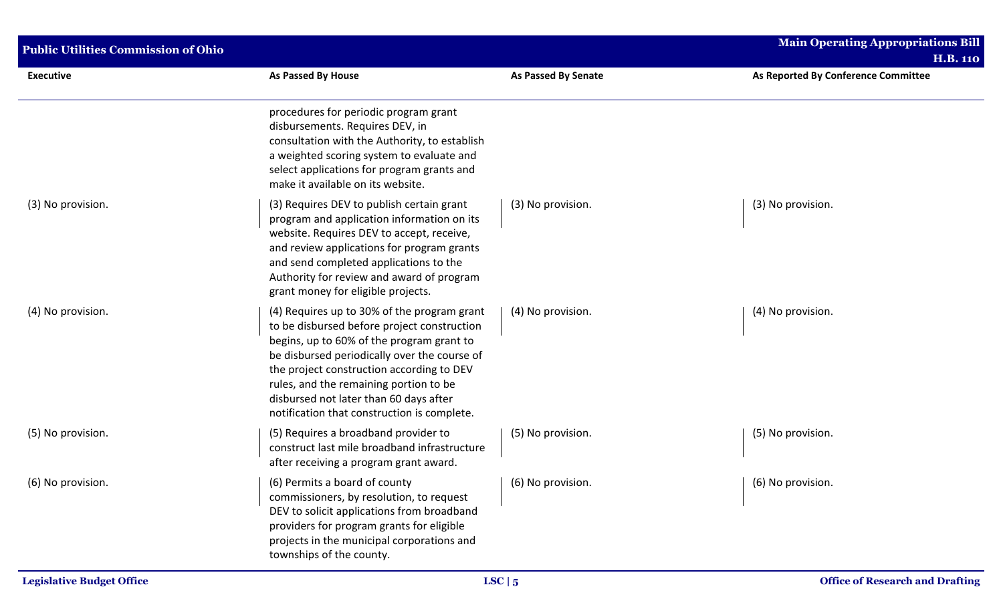| <b>Public Utilities Commission of Ohio</b> |                                                                                                                                                                                                                                                                                                                                                                         |                            | <b>Main Operating Appropriations Bill</b><br><b>H.B. 110</b> |  |
|--------------------------------------------|-------------------------------------------------------------------------------------------------------------------------------------------------------------------------------------------------------------------------------------------------------------------------------------------------------------------------------------------------------------------------|----------------------------|--------------------------------------------------------------|--|
| <b>Executive</b>                           | As Passed By House                                                                                                                                                                                                                                                                                                                                                      | <b>As Passed By Senate</b> | As Reported By Conference Committee                          |  |
|                                            | procedures for periodic program grant<br>disbursements. Requires DEV, in<br>consultation with the Authority, to establish<br>a weighted scoring system to evaluate and<br>select applications for program grants and<br>make it available on its website.                                                                                                               |                            |                                                              |  |
| (3) No provision.                          | (3) Requires DEV to publish certain grant<br>program and application information on its<br>website. Requires DEV to accept, receive,<br>and review applications for program grants<br>and send completed applications to the<br>Authority for review and award of program<br>grant money for eligible projects.                                                         | (3) No provision.          | (3) No provision.                                            |  |
| (4) No provision.                          | (4) Requires up to 30% of the program grant<br>to be disbursed before project construction<br>begins, up to 60% of the program grant to<br>be disbursed periodically over the course of<br>the project construction according to DEV<br>rules, and the remaining portion to be<br>disbursed not later than 60 days after<br>notification that construction is complete. | (4) No provision.          | (4) No provision.                                            |  |
| (5) No provision.                          | (5) Requires a broadband provider to<br>construct last mile broadband infrastructure<br>after receiving a program grant award.                                                                                                                                                                                                                                          | (5) No provision.          | (5) No provision.                                            |  |
| (6) No provision.                          | (6) Permits a board of county<br>commissioners, by resolution, to request<br>DEV to solicit applications from broadband<br>providers for program grants for eligible<br>projects in the municipal corporations and<br>townships of the county.                                                                                                                          | $(6)$ No provision.        | (6) No provision.                                            |  |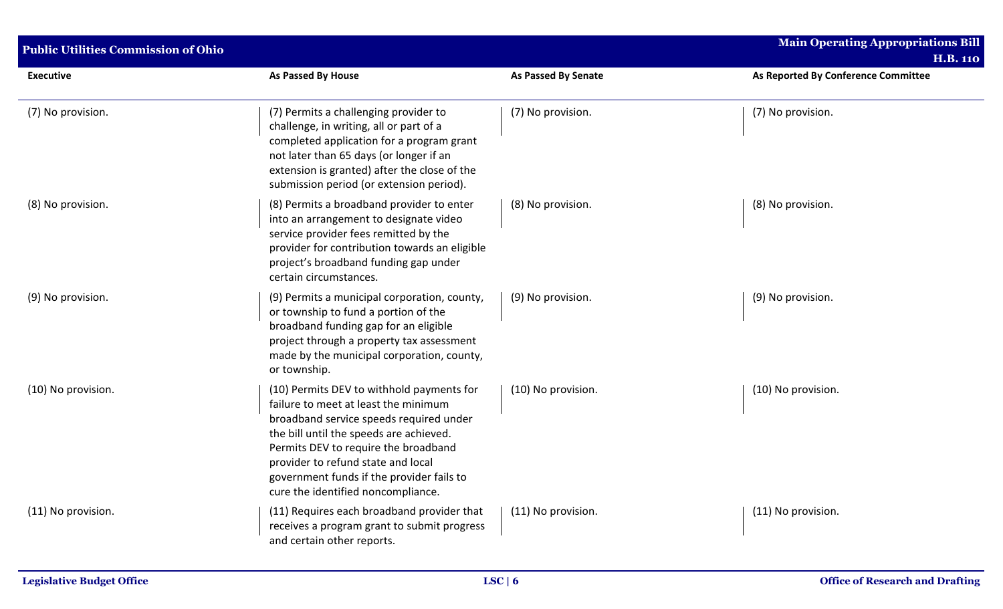| <b>Public Utilities Commission of Ohio</b> |                                                                                                                                                                                                                                                                                                                                          |                            | <b>Main Operating Appropriations Bill</b><br><b>H.B. 110</b> |  |
|--------------------------------------------|------------------------------------------------------------------------------------------------------------------------------------------------------------------------------------------------------------------------------------------------------------------------------------------------------------------------------------------|----------------------------|--------------------------------------------------------------|--|
| <b>Executive</b>                           | As Passed By House                                                                                                                                                                                                                                                                                                                       | <b>As Passed By Senate</b> | As Reported By Conference Committee                          |  |
| (7) No provision.                          | (7) Permits a challenging provider to<br>challenge, in writing, all or part of a<br>completed application for a program grant<br>not later than 65 days (or longer if an<br>extension is granted) after the close of the<br>submission period (or extension period).                                                                     | (7) No provision.          | (7) No provision.                                            |  |
| (8) No provision.                          | (8) Permits a broadband provider to enter<br>into an arrangement to designate video<br>service provider fees remitted by the<br>provider for contribution towards an eligible<br>project's broadband funding gap under<br>certain circumstances.                                                                                         | (8) No provision.          | (8) No provision.                                            |  |
| (9) No provision.                          | (9) Permits a municipal corporation, county,<br>or township to fund a portion of the<br>broadband funding gap for an eligible<br>project through a property tax assessment<br>made by the municipal corporation, county,<br>or township.                                                                                                 | (9) No provision.          | (9) No provision.                                            |  |
| (10) No provision.                         | (10) Permits DEV to withhold payments for<br>failure to meet at least the minimum<br>broadband service speeds required under<br>the bill until the speeds are achieved.<br>Permits DEV to require the broadband<br>provider to refund state and local<br>government funds if the provider fails to<br>cure the identified noncompliance. | (10) No provision.         | (10) No provision.                                           |  |
| (11) No provision.                         | (11) Requires each broadband provider that<br>receives a program grant to submit progress<br>and certain other reports.                                                                                                                                                                                                                  | (11) No provision.         | (11) No provision.                                           |  |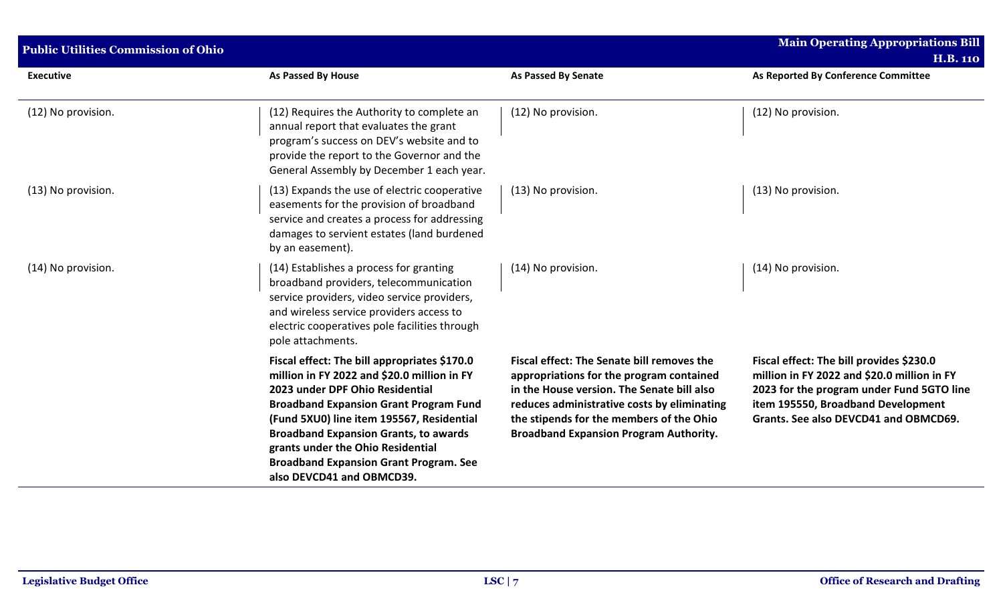| <b>Public Utilities Commission of Ohio</b> |                                                                                                                                                                                                                                                                                                                                                                                                 |                                                                                                                                                                                                                                                                                  | <b>Main Operating Appropriations Bill</b><br><b>H.B. 110</b>                                                                                                                                                        |  |
|--------------------------------------------|-------------------------------------------------------------------------------------------------------------------------------------------------------------------------------------------------------------------------------------------------------------------------------------------------------------------------------------------------------------------------------------------------|----------------------------------------------------------------------------------------------------------------------------------------------------------------------------------------------------------------------------------------------------------------------------------|---------------------------------------------------------------------------------------------------------------------------------------------------------------------------------------------------------------------|--|
| <b>Executive</b>                           | As Passed By House                                                                                                                                                                                                                                                                                                                                                                              | <b>As Passed By Senate</b>                                                                                                                                                                                                                                                       | As Reported By Conference Committee                                                                                                                                                                                 |  |
| (12) No provision.                         | (12) Requires the Authority to complete an<br>annual report that evaluates the grant<br>program's success on DEV's website and to<br>provide the report to the Governor and the<br>General Assembly by December 1 each year.                                                                                                                                                                    | (12) No provision.                                                                                                                                                                                                                                                               | (12) No provision.                                                                                                                                                                                                  |  |
| (13) No provision.                         | (13) Expands the use of electric cooperative<br>easements for the provision of broadband<br>service and creates a process for addressing<br>damages to servient estates (land burdened<br>by an easement).                                                                                                                                                                                      | (13) No provision.                                                                                                                                                                                                                                                               | (13) No provision.                                                                                                                                                                                                  |  |
| (14) No provision.                         | (14) Establishes a process for granting<br>broadband providers, telecommunication<br>service providers, video service providers,<br>and wireless service providers access to<br>electric cooperatives pole facilities through<br>pole attachments.                                                                                                                                              | (14) No provision.                                                                                                                                                                                                                                                               | (14) No provision.                                                                                                                                                                                                  |  |
|                                            | Fiscal effect: The bill appropriates \$170.0<br>million in FY 2022 and \$20.0 million in FY<br>2023 under DPF Ohio Residential<br><b>Broadband Expansion Grant Program Fund</b><br>(Fund 5XU0) line item 195567, Residential<br><b>Broadband Expansion Grants, to awards</b><br>grants under the Ohio Residential<br><b>Broadband Expansion Grant Program. See</b><br>also DEVCD41 and OBMCD39. | Fiscal effect: The Senate bill removes the<br>appropriations for the program contained<br>in the House version. The Senate bill also<br>reduces administrative costs by eliminating<br>the stipends for the members of the Ohio<br><b>Broadband Expansion Program Authority.</b> | Fiscal effect: The bill provides \$230.0<br>million in FY 2022 and \$20.0 million in FY<br>2023 for the program under Fund 5GTO line<br>item 195550, Broadband Development<br>Grants. See also DEVCD41 and OBMCD69. |  |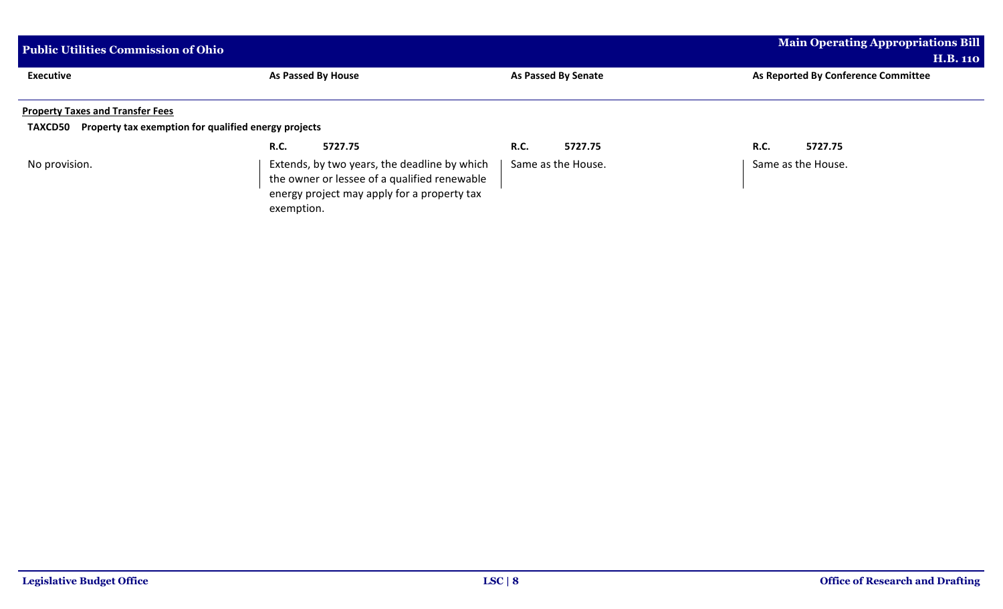| <b>Public Utilities Commission of Ohio</b>                |                                                                                                                                                           | <b>Main Operating Appropriations Bill</b><br><b>H.B. 110</b> |                                     |
|-----------------------------------------------------------|-----------------------------------------------------------------------------------------------------------------------------------------------------------|--------------------------------------------------------------|-------------------------------------|
| <b>Executive</b>                                          | As Passed By House                                                                                                                                        | <b>As Passed By Senate</b>                                   | As Reported By Conference Committee |
| <b>Property Taxes and Transfer Fees</b><br><b>TAXCD50</b> | Property tax exemption for qualified energy projects                                                                                                      |                                                              |                                     |
|                                                           | 5727.75<br><b>R.C.</b>                                                                                                                                    | <b>R.C.</b><br>5727.75                                       | 5727.75<br>R.C.                     |
| No provision.                                             | Extends, by two years, the deadline by which<br>the owner or lessee of a qualified renewable<br>energy project may apply for a property tax<br>exemption. | Same as the House.                                           | Same as the House.                  |